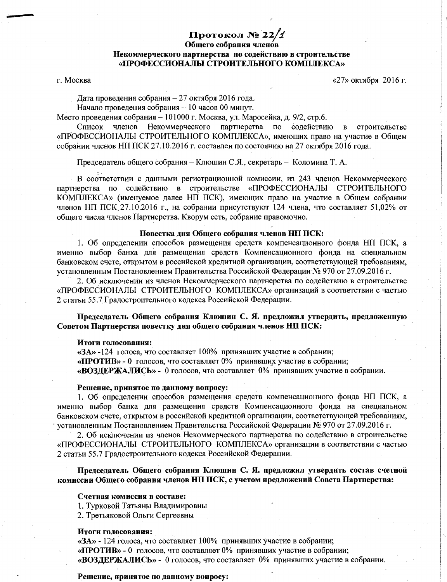# Протокол № 22/1

# Общего собрания членов

# Некоммерческого партнерства по содействию в строительстве «ПРОФЕССИОНАЛЫ СТРОИТЕЛЬНОГО КОМПЛЕКСА»

# г. Москва

«27» октября 2016 г.

Дата проведения собрания - 27 октября 2016 года.

Начало проведения собрания - 10 часов 00 минут.

Место проведения собрания - 101000 г. Москва, ул. Маросейка, д. 9/2, стр.6.

Некоммерческого партнерства по содействию Список членов в строительстве «ПРОФЕССИОНАЛЫ СТРОИТЕЛЬНОГО КОМПЛЕКСА», имеющих право на участие в Общем собрании членов НП ПСК 27.10.2016 г. составлен по состоянию на 27 октября 2016 года.

Председатель общего собрания - Клюшин С.Я., секретарь - Коломина Т. А.

В соответствии с данными регистрационной комиссии, из 243 членов Некоммерческого партнерства по содействию в строительстве «ПРОФЕССИОНАЛЫ СТРОИТЕЛЬНОГО КОМПЛЕКСА» (именуемое далее НП ПСК), имеющих право на участие в Общем собрании членов НП ПСК 27.10.2016 г., на собрании присутствуют 124 члена, что составляет 51,02% от общего числа членов Партнерства. Кворум есть, собрание правомочно.

# Повестка дня Общего собрания членов НП ПСК:

1. Об определении способов размещения средств компенсационного фонда НП ПСК, а именно выбор банка для размещения средств Компенсационного фонда на специальном банковском счете, открытом в российской кредитной организации, соответствующей требованиям. установленным Постановлением Правительства Российской Федерации № 970 от 27.09.2016 г.

2. Об исключении из членов Некоммерческого партнерства по содействию в строительстве «ПРОФЕССИОНАЛЫ СТРОИТЕЛЬНОГО КОМПЛЕКСА» организаций в соответствии с частью 2 статьи 55.7 Градостроительного кодекса Российской Федерации.

Председатель Общего собрания Клюшин С. Я. предложил утвердить, предложенную Советом Партнерства повестку дня общего собрания членов НП ПСК:

#### Итоги голосования:

 $\langle$ ЗА» -124 голоса, что составляет 100% принявших участие в собрании; «ПРОТИВ» - 0 голосов, что составляет 0% принявших участие в собрании; «ВОЗДЕРЖАЛИСЬ» - 0 голосов, что составляет 0% принявших участие в собрании.

#### Решение, принятое по данному вопросу:

1. Об определении способов размещения средств компенсационного фонда НП ПСК, а именно выбор банка для размещения средств Компенсационного фонда на специальном банковском счете, открытом в российской кредитной организации, соответствующей требованиям, установленным Постановлением Правительства Российской Федерации № 970 от 27.09.2016 г.

2. Об исключении из членов Некоммерческого партнерства по содействию в строительстве «ПРОФЕССИОНАЛЫ СТРОИТЕЛЬНОГО КОМПЛЕКСА» организации в соответствии с частью 2 статьи 55.7 Градостроительного кодекса Российской Федерации.

Председатель Общего собрания Клюшин С. Я. предложил утвердить состав счетной комиссии Общего собрания членов НП ПСК, с учетом предложений Совета Партнерства:

#### Счетная комиссия в составе:

1. Турковой Татьяны Владимировны

2. Третьяковой Ольги Сергеевны

#### Итоги голосования:

«ЗА» - 124 голоса, что составляет 100% принявших участие в собрании; «ПРОТИВ» - 0 голосов, что составляет 0% принявших участие в собрании; «ВОЗДЕРЖАЛИСЬ» - 0 голосов, что составляет 0% принявших участие в собрании.

#### Решение, принятое по данному вопросу: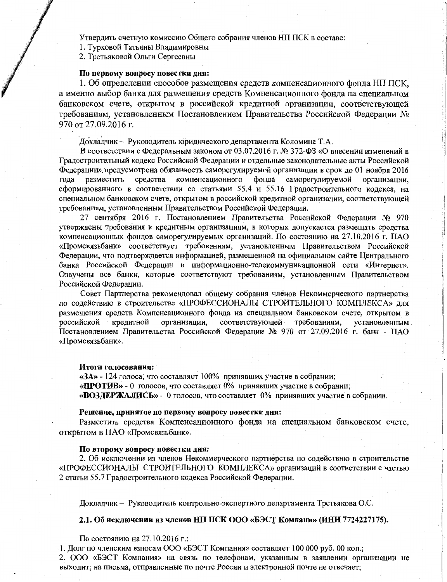Утвердить счетную комиссию Общего собрания членов НП ПСК в составе:

1. Турковой Татьяны Владимировны

2. Третьяковой Ольги Сергеевны

#### По первому вопросу повестки дня:

1. Об определении способов размещения средств компенсационного фонда НП ПСК, а именно выбор банка для размещения средств Компенсационного фонда на специальном банковском счете, открытом в российской кредитной организации, соответствующей требованиям, установленным Постановлением Правительства Российской Федерации № 970 от 27.09.2016 г.

Докладчик - Руководитель юридического департамента Коломина Т.А.

В соответствии с Федеральным законом от 03.07.2016 г. № 372-ФЗ «О внесении изменений в Градостроительный кодекс Российской Федерации и отдельные законодательные акты Российской Федерации» предусмотрена обязанность саморегулируемой организации в срок до 01 ноября 2016 разместить средства компенсационного фонда саморегулируемой года организации, сформированного в соответствии со статьями 55.4 и 55.16 Градостроительного кодекса, на специальном банковском счете, открытом в российской кредитной организации, соответствующей требованиям, установленным Правительством Российской Федерации.

27 сентября 2016 г. Постановлением Правительства Российской Федерации № 970 утверждены требования к кредитным организациям, в которых допускается размещать средства компенсационных фондов саморегулируемых организаций. По состоянию на 27.10.2016 г. ПАО «Промсвязьбанк» соответствует требованиям, установленным Правительством Российской Федерации, что подтверждается информацией, размещенной на официальном сайте Центрального банка Российской Федерации в информационно-телекоммуникационной сети «Интернет». Озвучены все банки, которые соответствуют требованиям, установленным Правительством Российской Федерации.

Совет Партнерства рекомендовал общему собрания членов Некоммерческого партнерства по содействию в строительстве «ПРОФЕССИОНАЛЫ СТРОИТЕЛЬНОГО КОМПЛЕКСА» для размещения средств Компенсационного фонда на специальном банковском счете, открытом в соответствующей требованиям. российской кредитной организации. установленным. Постановлением Правительства Российской Федерации № 970 от 27.09.2016 г. банк - ПАО «Промсвязьбанк».

#### Итоги голосования:

«ЗА» - 124 голоса, что составляет 100% принявших участие в собрании; «ПРОТИВ» - 0 голосов, что составляет 0% принявших участие в собрании; «ВОЗДЕРЖАЛИСЬ» - 0 голосов, что составляет 0% принявших участие в собрании.

#### Решение, принятое по первому вопросу повестки дня:

Разместить средства Компенсационного фонда на специальном банковском счете, открытом в ПАО «Промсвязьбанк».

#### По второму вопросу повестки дня:

2. Об исключении из членов Некоммерческого партнерства по содействию в строительстве «ПРОФЕССИОНАЛЫ СТРОИТЕЛЬНОГО КОМПЛЕКСА» организаций в соответствии с частью 2 статьи 55.7 Градостроительного кодекса Российской Федерации.

Докладчик - Руководитель контрольно-экспертного департамента Третьякова О.С.

# 2.1. Об исключении из членов НП ПСК ООО «БЭСТ Компани» (ИНН 7724227175).

По состоянию на 27.10.2016 г.:

1. Долг по членским взносам ООО «БЭСТ Компания» составляет 100 000 руб. 00 коп.; 2. ООО «БЭСТ Компания» на связь по телефонам, указанным в заявлении организации не выходит; на письма, отправленные по почте России и электронной почте не отвечает;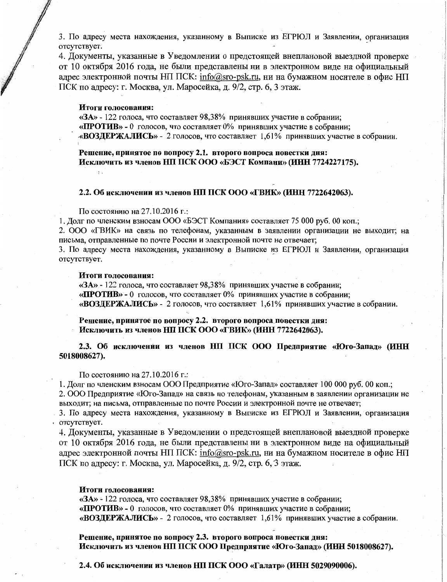3. По адресу места нахождения, указанному в Выписке из ЕГРЮЛ и Заявлении, организация отсутствует.

4. Документы, указанные в Уведомлении о предстоящей внеплановой выездной проверке от 10 октября 2016 года, не были представлены ни в электронном виде на официальный адрес электронной почты НП ПСК: info@sro-psk.ru, ни на бумажном носителе в офис НП ПСК по адресу: г. Москва, ул. Маросейка, д. 9/2, стр. 6, 3 этаж.

# Итоги голосования:

 $\ddot{\phantom{a}}$ 

 $\langle$  3A» - 122 голоса, что составляет 98,38% принявших участие в собрании; «ПРОТИВ» - 0 голосов, что составляет 0% принявших участие в собрании; «ВОЗДЕРЖАЛИСЬ» - 2 голосов, что составляет 1,61% принявших участие в собрании.

Решение, принятое по вопросу 2.1. второго вопроса повестки дня: Исключить из членов НП ПСК ООО «БЭСТ Компани» (ИНН 7724227175).

#### 2.2. Об исключении из членов НП ПСК ООО «ГВИК» (ИНН 7722642063).

По состоянию на 27.10.2016 г.:

1. Долг по членским взносам ООО «БЭСТ Компания» составляет 75 000 руб. 00 коп.;

2. ООО «ГВИК» на связь по телефонам, указанным в заявлении организации не выходит; на письма, отправленные по почте России и электронной почте не отвечает;

3. По адресу места нахождения, указанному в Выписке из ЕГРЮЛ и Заявлении, организация отсутствует.

#### Итоги голосования:

«ЗА» - 122 голоса, что составляет 98,38% принявших участие в собрании; «ПРОТИВ» - 0 голосов, что составляет 0% принявших участие в собрании; «ВОЗДЕРЖАЛИСЬ» - 2 голосов, что составляет 1,61% принявших участие в собрании.

Решение, принятое по вопросу 2.2. второго вопроса повестки дня: Исключить из членов НП ПСК ООО «ГВИК» (ИНН 7722642063).

2.3. Об исключении из членов НП ПСК ООО Предприятие «Юго-Запад» (ИНН 5018008627).

По состоянию на 27.10.2016 г.:

1. Долг по членским взносам ООО Предприятие «Юго-Запад» составляет 100 000 руб. 00 коп.; 2. ООО Предприятие «Юго-Запад» на связь по телефонам, указанным в заявлении организации не

выходит; на письма, отправленные по почте России и электронной почте не отвечает;

3. По адресу места нахождения, указанному в Выписке из ЕГРЮЛ и Заявлении, организация отсутствует.

4. Документы, указанные в Уведомлении о предстоящей внеплановой выездной проверке от 10 октября 2016 года, не были представлены ни в электронном виде на официальный адрес электронной почты НП ПСК: info@sro-psk.ru, ни на бумажном носителе в офис НП ПСК по адресу: г. Москва, ул. Маросейка, д. 9/2, стр. 6, 3 этаж.

#### Итоги голосования:

«ЗА» - 122 голоса, что составляет 98,38% принявших участие в собрании: «ПРОТИВ» - 0 голосов, что составляет 0% принявших участие в собрании; «ВОЗДЕРЖАЛИСЬ» - 2 голосов, что составляет 1,61% принявших участие в собрании.

Решение, принятое по вопросу 2.3. второго вопроса повестки дня: Исключить из членов НП ПСК ООО Предприятие «Юго-Запад» (ИНН 5018008627).

2.4. Об исключении из членов НП ПСК ООО «Галатр» (ИНН 5029090006).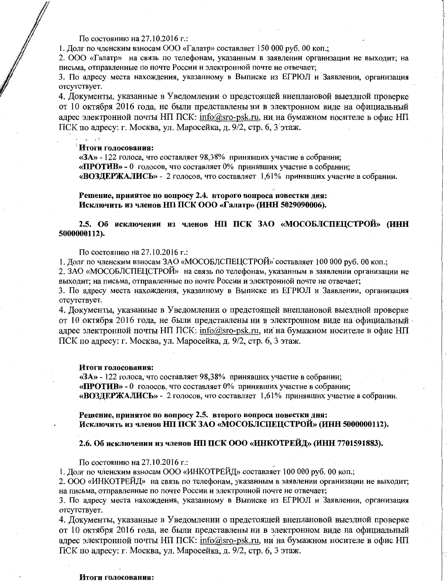По состоянию на 27.10.2016 г.:

1. Долг по членским взносам ООО «Галатр» составляет 150 000 руб. 00 коп.:

2. ООО «Галатр» на связь по телефонам, указанным в заявлении организации не выходит; на письма, отправленные по почте России и электронной почте не отвечает;

3. По адресу места нахождения, указанному в Выписке из ЕГРЮЛ и Заявлении, организация отсутствует.

4. Документы, указанные в Уведомлении о предстоящей внеплановой выездной проверке от 10 октября 2016 года, не были представлены ни в электронном виде на официальный адрес электронной почты НП ПСК: info@sro-psk.ru, ни на бумажном носителе в офис НП ПСК по адресу: г. Москва, ул. Маросейка, д. 9/2, стр. 6, 3 этаж.

#### Итоги голосования:

«ЗА» - 122 голоса, что составляет 98,38% принявших участие в собрании; «ПРОТИВ» - 0 голосов, что составляет 0% принявших участие в собрании; «ВОЗДЕРЖАЛИСЬ» - 2 голосов, что составляет 1.61% принявших участие в собрании.

Решение, принятое по вопросу 2.4. второго вопроса повестки дня: Исключить из членов НП ПСК ООО «Галатр» (ИНН 5029090006).

2.5. Об исключении из членов НП ПСК ЗАО «МОСОБЛСПЕЦСТРОЙ» (ИНН 5000000112).

По состоянию на 27.10.2016 г.:

1. Долг по членским взносам ЗАО «МОСОБЛСПЕЦСТРОЙ» составляет 100 000 руб. 00 коп.; 2. ЗАО «МОСОБЛСПЕЦСТРОЙ» на связь по телефонам, указанным в заявлении организации не выходит; на письма, отправленные по почте России и электронной почте не отвечает;

3. По адресу места нахождения, указанному в Выписке из ЕГРЮЛ и Заявлении, организация отсутствует.

4. Документы, указанные в Уведомлении о предстоящей внеплановой выездной проверке от 10 октября 2016 года, не были представлены ни в электронном виде на официальный адрес электронной почты НП ПСК: info@sro-psk.ru, ни на бумажном носителе в офис НП ПСК по адресу: г. Москва, ул. Маросейка, д. 9/2, стр. 6, 3 этаж.

#### Итоги голосования:

«ЗА» - 122 голоса, что составляет 98,38% принявших участие в собрании; «ПРОТИВ» - 0 голосов, что составляет 0% принявших участие в собрании; «ВОЗДЕРЖАЛИСЬ» - 2 голосов, что составляет 1,61% принявших участие в собрании.

Решение, принятое по вопросу 2.5. второго вопроса повестки дня: Исключить из членов НП ПСК ЗАО «МОСОБЛСПЕЦСТРОЙ» (ИНН 5000000112).

# 2.6. Об исключении из членов НП ПСК ООО «ИНКОТРЕЙД» (ИНН 7701591883).

По состоянию на 27.10.2016 г.:

1. Долг по членским взносам ООО «ИНКОТРЕЙД» составляет 100 000 руб. 00 коп.;

2. ООО «ИНКОТРЕЙД» на связь по телефонам, указанным в заявлении организации не выходит; на письма, отправленные по почте России и электронной почте не отвечает;

3. По адресу места нахождения, указанному в Выписке из ЕГРЮЛ и Заявлении, организация отсутствует.

4. Документы, указанные в Уведомлении о предстоящей внеплановой выездной проверке от 10 октября 2016 года, не были представлены ни в электронном виде на официальный адрес электронной почты НП ПСК: info@sro-psk.ru, ни на бумажном носителе в офис НП ПСК по адресу: г. Москва, ул. Маросейка, д. 9/2, стр. 6, 3 этаж.

#### Итоги голосования: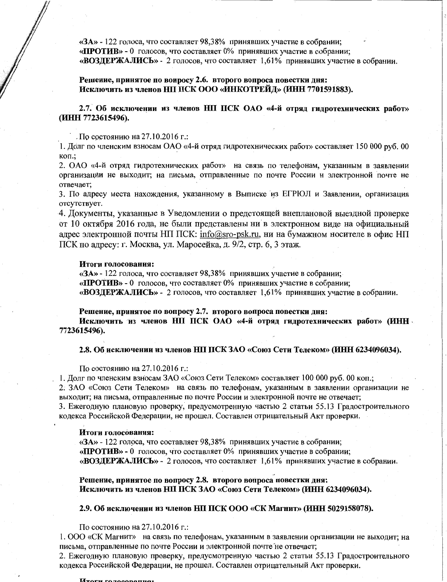«ЗА» - 122 голоса, что составляет 98,38% принявших участие в собрании; «ПРОТИВ» - 0 голосов, что составляет 0% принявших участие в собрании: «ВОЗДЕРЖАЛИСЬ» - 2 голосов, что составляет 1,61% принявших участие в собрании.

Решение, принятое по вопросу 2.6. второго вопроса повестки дня: Исключить из членов НП ПСК ООО «ИНКОТРЕЙД» (ИНН 7701591883).

2.7. Об исключении из членов НП ПСК ОАО «4-й отряд гидротехнических работ» (ИНН 7723615496).

. По состоянию на 27.10.2016 г.:

1. Долг по членским взносам ОАО «4-й отряд гидротехнических работ» составляет 150 000 руб. 00 коп.:

2. ОАО «4-й отряд гидротехнических работ» на связь по телефонам, указанным в заявлении организации не выходит; на письма, отправленные по почте России и электронной почте не отвечает:

3. По адресу места нахождения, указанному в Выписке из ЕГРЮЛ и Заявлении, организация отсутствует.

4. Документы, указанные в Уведомлении о предстоящей внеплановой выездной проверке от 10 октября 2016 года, не были представлены ни в электронном виде на официальный адрес электронной почты НП ПСК: info@sro-psk.ru, ни на бумажном носителе в офис НП ПСК по адресу: г. Москва, ул. Маросейка, д. 9/2, стр. 6, 3 этаж.

#### Итоги голосования:

 $\langle$ ЗА» - 122 голоса, что составляет 98.38% принявших участие в собрании:

«ПРОТИВ» - 0 голосов, что составляет 0% принявших участие в собрании;

«ВОЗДЕРЖАЛИСЬ» - 2 голосов, что составляет 1,61% принявших участие в собрании.

Решение, принятое по вопросу 2.7. второго вопроса повестки дня:

Исключить из членов НП ПСК ОАО «4-й отряд гидротехнических работ» (ИНН · 7723615496).

#### 2.8. Об исключении из членов НП ПСК ЗАО «Союз Сети Телеком» (ИНН 6234096034).

По состоянию на 27.10.2016 г.:

1. Долг по членским взносам ЗАО «Союз Сети Телеком» составляет 100 000 руб. 00 коп.;

2. ЗАО «Союз Сети Телеком» на связь по телефонам, указанным в заявлении организации не выходит; на письма, отправленные по почте России и электронной почте не отвечает;

3. Ежегодную плановую проверку, предусмотренную частью 2 статьи 55.13 Градостроительного кодекса Российской Федерации, не прошел. Составлен отрицательный Акт проверки.

#### Итоги голосования:

«ЗА» - 122 голоса, что составляет 98,38% принявших участие в собрании; «ПРОТИВ» - 0 голосов, что составляет 0% принявших участие в собрании; «ВОЗДЕРЖАЛИСЬ» - 2 голосов, что составляет 1,61% принявших участие в собрании.

Решение, принятое по вопросу 2.8. второго вопроса повестки дня: Исключить из членов НП ПСК ЗАО «Союз Сети Телеком» (ИНН 6234096034).

## 2.9. Об исключении из членов НП ПСК ООО «СК Магнит» (ИНН 5029158078).

По состоянию на 27.10.2016 г.:

1. ООО «СК Магнит» на связь по телефонам, указанным в заявлении организации не выходит; на письма, отправленные по почте России и электронной почте не отвечает;

2. Ежегодную плановую проверку, предусмотренную частью 2 статьи 55.13 Градостроительного кодекса Российской Федерации, не прошел. Составлен отрицательный Акт проверки.